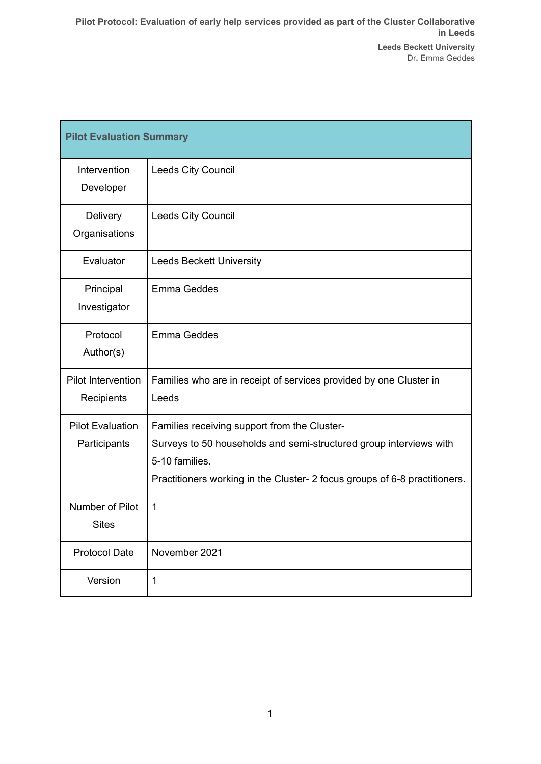| <b>Pilot Evaluation Summary</b>         |                                                                                                                                                                                                                    |
|-----------------------------------------|--------------------------------------------------------------------------------------------------------------------------------------------------------------------------------------------------------------------|
| Intervention<br>Developer               | Leeds City Council                                                                                                                                                                                                 |
| Delivery<br>Organisations               | Leeds City Council                                                                                                                                                                                                 |
| Evaluator                               | <b>Leeds Beckett University</b>                                                                                                                                                                                    |
| Principal<br>Investigator               | Emma Geddes                                                                                                                                                                                                        |
| Protocol<br>Author(s)                   | Emma Geddes                                                                                                                                                                                                        |
| Pilot Intervention<br>Recipients        | Families who are in receipt of services provided by one Cluster in<br>Leeds                                                                                                                                        |
| <b>Pilot Evaluation</b><br>Participants | Families receiving support from the Cluster-<br>Surveys to 50 households and semi-structured group interviews with<br>5-10 families.<br>Practitioners working in the Cluster- 2 focus groups of 6-8 practitioners. |
| Number of Pilot<br><b>Sites</b>         | 1                                                                                                                                                                                                                  |
| <b>Protocol Date</b>                    | November 2021                                                                                                                                                                                                      |
| Version                                 | 1                                                                                                                                                                                                                  |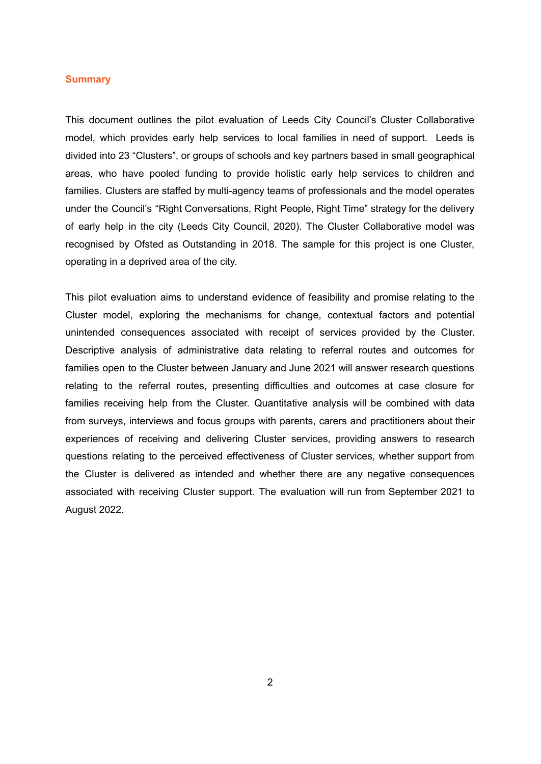#### <span id="page-1-0"></span>**Summary**

This document outlines the pilot evaluation of Leeds City Council's Cluster Collaborative model, which provides early help services to local families in need of support. Leeds is divided into 23 "Clusters", or groups of schools and key partners based in small geographical areas, who have pooled funding to provide holistic early help services to children and families. Clusters are staffed by multi-agency teams of professionals and the model operates under the Council's "Right Conversations, Right People, Right Time" strategy for the delivery of early help in the city (Leeds City Council, 2020). The Cluster Collaborative model was recognised by Ofsted as Outstanding in 2018. The sample for this project is one Cluster, operating in a deprived area of the city.

This pilot evaluation aims to understand evidence of feasibility and promise relating to the Cluster model, exploring the mechanisms for change, contextual factors and potential unintended consequences associated with receipt of services provided by the Cluster. Descriptive analysis of administrative data relating to referral routes and outcomes for families open to the Cluster between January and June 2021 will answer research questions relating to the referral routes, presenting difficulties and outcomes at case closure for families receiving help from the Cluster. Quantitative analysis will be combined with data from surveys, interviews and focus groups with parents, carers and practitioners about their experiences of receiving and delivering Cluster services, providing answers to research questions relating to the perceived effectiveness of Cluster services, whether support from the Cluster is delivered as intended and whether there are any negative consequences associated with receiving Cluster support. The evaluation will run from September 2021 to August 2022.

<span id="page-1-1"></span>2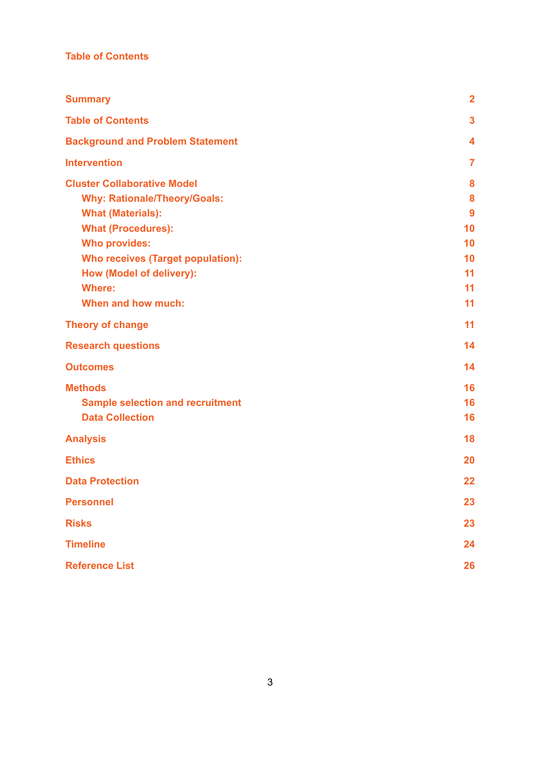# **Table of Contents**

| <b>Summary</b>                           | $\overline{\mathbf{2}}$ |
|------------------------------------------|-------------------------|
| <b>Table of Contents</b>                 | $\overline{\mathbf{3}}$ |
| <b>Background and Problem Statement</b>  | $\overline{\bf 4}$      |
| <b>Intervention</b>                      | $\overline{7}$          |
| <b>Cluster Collaborative Model</b>       | 8                       |
| <b>Why: Rationale/Theory/Goals:</b>      | 8                       |
| <b>What (Materials):</b>                 | 9                       |
| <b>What (Procedures):</b>                | 10                      |
| <b>Who provides:</b>                     | 10                      |
| <b>Who receives (Target population):</b> | 10                      |
| How (Model of delivery):                 | 11                      |
| <b>Where:</b>                            | 11                      |
| When and how much:                       | 11                      |
| <b>Theory of change</b>                  | 11                      |
| <b>Research questions</b>                | 14                      |
| <b>Outcomes</b>                          | 14                      |
| <b>Methods</b>                           | 16                      |
| <b>Sample selection and recruitment</b>  | 16                      |
| <b>Data Collection</b>                   | 16                      |
| <b>Analysis</b>                          | 18                      |
| <b>Ethics</b>                            | 20                      |
| <b>Data Protection</b>                   | 22                      |
| <b>Personnel</b>                         | 23                      |
| <b>Risks</b>                             | 23                      |
| <b>Timeline</b>                          | 24                      |
| <b>Reference List</b>                    | 26                      |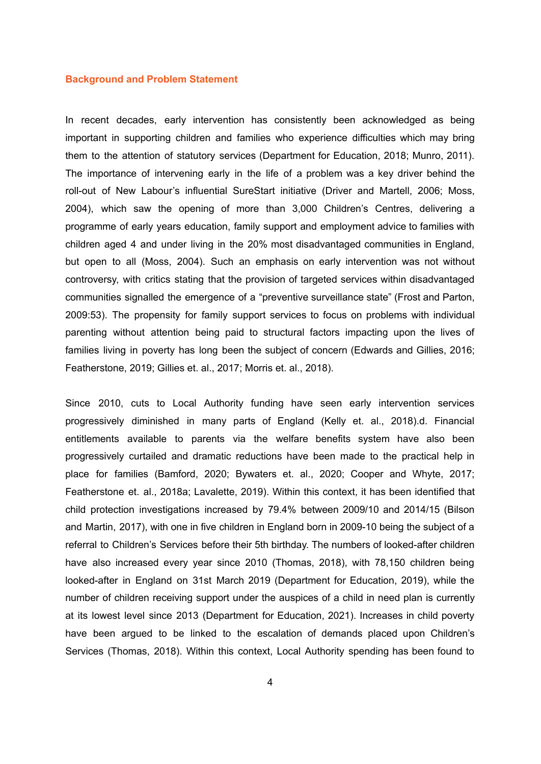#### <span id="page-3-0"></span>**Background and Problem Statement**

In recent decades, early intervention has consistently been acknowledged as being important in supporting children and families who experience difficulties which may bring them to the attention of statutory services (Department for Education, 2018; Munro, 2011). The importance of intervening early in the life of a problem was a key driver behind the roll-out of New Labour's influential SureStart initiative (Driver and Martell, 2006; Moss, 2004), which saw the opening of more than 3,000 Children's Centres, delivering a programme of early years education, family support and employment advice to families with children aged 4 and under living in the 20% most disadvantaged communities in England, but open to all (Moss, 2004). Such an emphasis on early intervention was not without controversy, with critics stating that the provision of targeted services within disadvantaged communities signalled the emergence of a "preventive surveillance state" (Frost and Parton, 2009:53). The propensity for family support services to focus on problems with individual parenting without attention being paid to structural factors impacting upon the lives of families living in poverty has long been the subject of concern (Edwards and Gillies, 2016; Featherstone, 2019; Gillies et. al., 2017; Morris et. al., 2018).

Since 2010, cuts to Local Authority funding have seen early intervention services progressively diminished in many parts of England (Kelly et. al., 2018).d. Financial entitlements available to parents via the welfare benefits system have also been progressively curtailed and dramatic reductions have been made to the practical help in place for families (Bamford, 2020; Bywaters et. al., 2020; Cooper and Whyte, 2017; Featherstone et. al., 2018a; Lavalette, 2019). Within this context, it has been identified that child protection investigations increased by 79.4% between 2009/10 and 2014/15 (Bilson and Martin, 2017), with one in five children in England born in 2009-10 being the subject of a referral to Children's Services before their 5th birthday. The numbers of looked-after children have also increased every year since 2010 (Thomas, 2018), with 78,150 children being looked-after in England on 31st March 2019 (Department for Education, 2019), while the number of children receiving support under the auspices of a child in need plan is currently at its lowest level since 2013 (Department for Education, 2021). Increases in child poverty have been argued to be linked to the escalation of demands placed upon Children's Services (Thomas, 2018). Within this context, Local Authority spending has been found to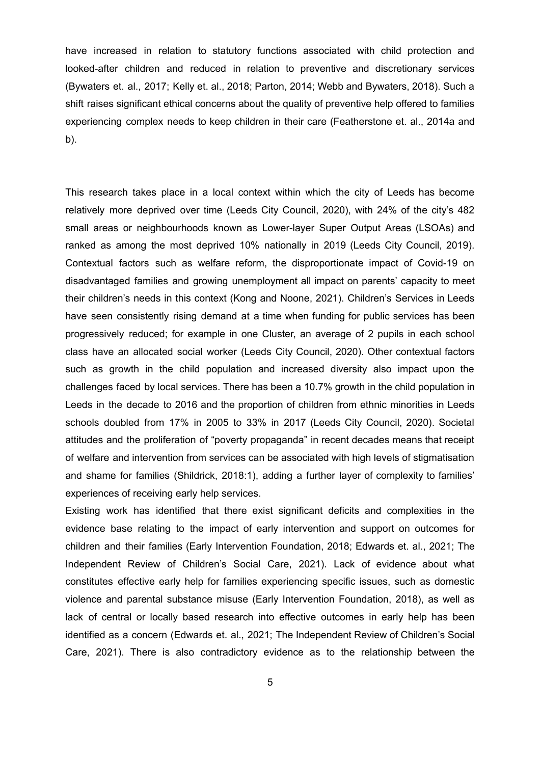have increased in relation to statutory functions associated with child protection and looked-after children and reduced in relation to preventive and discretionary services (Bywaters et. al., 2017; Kelly et. al., 2018; Parton, 2014; Webb and Bywaters, 2018). Such a shift raises significant ethical concerns about the quality of preventive help offered to families experiencing complex needs to keep children in their care (Featherstone et. al., 2014a and b).

This research takes place in a local context within which the city of Leeds has become relatively more deprived over time (Leeds City Council, 2020), with 24% of the city's 482 small areas or neighbourhoods known as Lower-layer Super Output Areas (LSOAs) and ranked as among the most deprived 10% nationally in 2019 (Leeds City Council, 2019). Contextual factors such as welfare reform, the disproportionate impact of Covid-19 on disadvantaged families and growing unemployment all impact on parents' capacity to meet their children's needs in this context (Kong and Noone, 2021). Children's Services in Leeds have seen consistently rising demand at a time when funding for public services has been progressively reduced; for example in one Cluster, an average of 2 pupils in each school class have an allocated social worker (Leeds City Council, 2020). Other contextual factors such as growth in the child population and increased diversity also impact upon the challenges faced by local services. There has been a 10.7% growth in the child population in Leeds in the decade to 2016 and the proportion of children from ethnic minorities in Leeds schools doubled from 17% in 2005 to 33% in 2017 (Leeds City Council, 2020). Societal attitudes and the proliferation of "poverty propaganda" in recent decades means that receipt of welfare and intervention from services can be associated with high levels of stigmatisation and shame for families (Shildrick, 2018:1), adding a further layer of complexity to families' experiences of receiving early help services.

Existing work has identified that there exist significant deficits and complexities in the evidence base relating to the impact of early intervention and support on outcomes for children and their families (Early Intervention Foundation, 2018; Edwards et. al., 2021; The Independent Review of Children's Social Care, 2021). Lack of evidence about what constitutes effective early help for families experiencing specific issues, such as domestic violence and parental substance misuse (Early Intervention Foundation, 2018), as well as lack of central or locally based research into effective outcomes in early help has been identified as a concern (Edwards et. al., 2021; The Independent Review of Children's Social Care, 2021). There is also contradictory evidence as to the relationship between the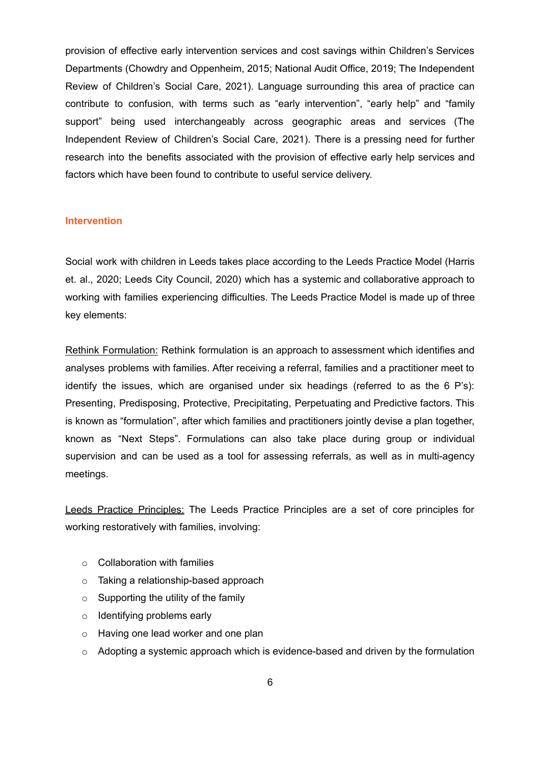provision of effective early intervention services and cost savings within Children's Services Departments (Chowdry and Oppenheim, 2015; National Audit Office, 2019; The Independent Review of Children's Social Care, 2021). Language surrounding this area of practice can contribute to confusion, with terms such as "early intervention", "early help" and "family support" being used interchangeably across geographic areas and services (The Independent Review of Children's Social Care, 2021). There is a pressing need for further research into the benefits associated with the provision of effective early help services and factors which have been found to contribute to useful service delivery.

#### <span id="page-5-0"></span>**Intervention**

Social work with children in Leeds takes place according to the Leeds Practice Model (Harris et. al., 2020; Leeds City Council, 2020) which has a systemic and collaborative approach to working with families experiencing difficulties. The Leeds Practice Model is made up of three key elements:

Rethink Formulation: Rethink formulation is an approach to assessment which identifies and analyses problems with families. After receiving a referral, families and a practitioner meet to identify the issues, which are organised under six headings (referred to as the 6 P's): Presenting, Predisposing, Protective, Precipitating, Perpetuating and Predictive factors. This is known as "formulation", after which families and practitioners jointly devise a plan together, known as "Next Steps". Formulations can also take place during group or individual supervision and can be used as a tool for assessing referrals, as well as in multi-agency meetings.

Leeds Practice Principles: The Leeds Practice Principles are a set of core principles for working restoratively with families, involving:

- $\circ$  Collaboration with families
- o Taking a relationship-based approach
- $\circ$  Supporting the utility of the family
- o Identifying problems early
- o Having one lead worker and one plan
- $\circ$  Adopting a systemic approach which is evidence-based and driven by the formulation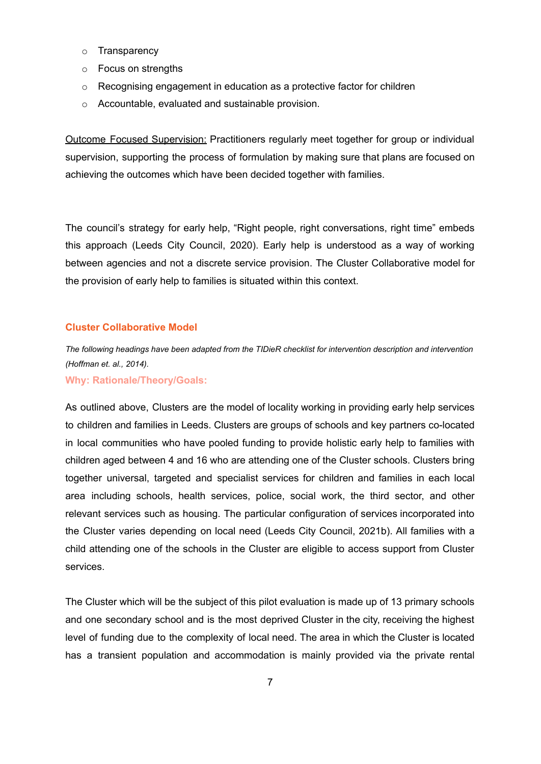- o Transparency
- o Focus on strengths
- o Recognising engagement in education as a protective factor for children
- o Accountable, evaluated and sustainable provision.

Outcome Focused Supervision: Practitioners regularly meet together for group or individual supervision, supporting the process of formulation by making sure that plans are focused on achieving the outcomes which have been decided together with families.

The council's strategy for early help, "Right people, right conversations, right time" embeds this approach (Leeds City Council, 2020). Early help is understood as a way of working between agencies and not a discrete service provision. The Cluster Collaborative model for the provision of early help to families is situated within this context.

## <span id="page-6-0"></span>**Cluster Collaborative Model**

*The following headings have been adapted from the TIDieR checklist for intervention description and intervention (Hoffman et. al., 2014).*

<span id="page-6-1"></span>**Why: Rationale/Theory/Goals:**

As outlined above, Clusters are the model of locality working in providing early help services to children and families in Leeds. Clusters are groups of schools and key partners co-located in local communities who have pooled funding to provide holistic early help to families with children aged between 4 and 16 who are attending one of the Cluster schools. Clusters bring together universal, targeted and specialist services for children and families in each local area including schools, health services, police, social work, the third sector, and other relevant services such as housing. The particular configuration of services incorporated into the Cluster varies depending on local need (Leeds City Council, 2021b). All families with a child attending one of the schools in the Cluster are eligible to access support from Cluster services.

The Cluster which will be the subject of this pilot evaluation is made up of 13 primary schools and one secondary school and is the most deprived Cluster in the city, receiving the highest level of funding due to the complexity of local need. The area in which the Cluster is located has a transient population and accommodation is mainly provided via the private rental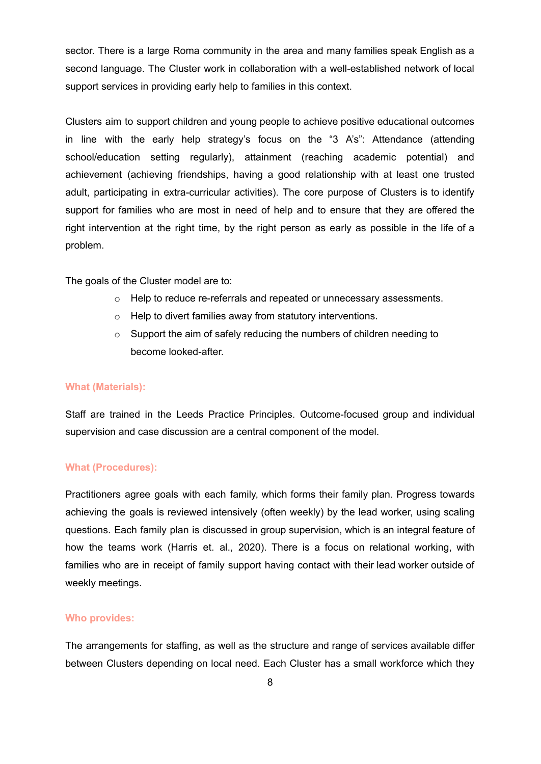sector. There is a large Roma community in the area and many families speak English as a second language. The Cluster work in collaboration with a well-established network of local support services in providing early help to families in this context.

Clusters aim to support children and young people to achieve positive educational outcomes in line with the early help strategy's focus on the "3 A's": Attendance (attending school/education setting regularly), attainment (reaching academic potential) and achievement (achieving friendships, having a good relationship with at least one trusted adult, participating in extra-curricular activities). The core purpose of Clusters is to identify support for families who are most in need of help and to ensure that they are offered the right intervention at the right time, by the right person as early as possible in the life of a problem.

The goals of the Cluster model are to:

- o Help to reduce re-referrals and repeated or unnecessary assessments.
- o Help to divert families away from statutory interventions.
- o Support the aim of safely reducing the numbers of children needing to become looked-after.

#### <span id="page-7-0"></span>**What (Materials):**

Staff are trained in the Leeds Practice Principles. Outcome-focused group and individual supervision and case discussion are a central component of the model.

# <span id="page-7-1"></span>**What (Procedures):**

Practitioners agree goals with each family, which forms their family plan. Progress towards achieving the goals is reviewed intensively (often weekly) by the lead worker, using scaling questions. Each family plan is discussed in group supervision, which is an integral feature of how the teams work (Harris et. al., 2020). There is a focus on relational working, with families who are in receipt of family support having contact with their lead worker outside of weekly meetings.

#### <span id="page-7-2"></span>**Who provides:**

The arrangements for staffing, as well as the structure and range of services available differ between Clusters depending on local need. Each Cluster has a small workforce which they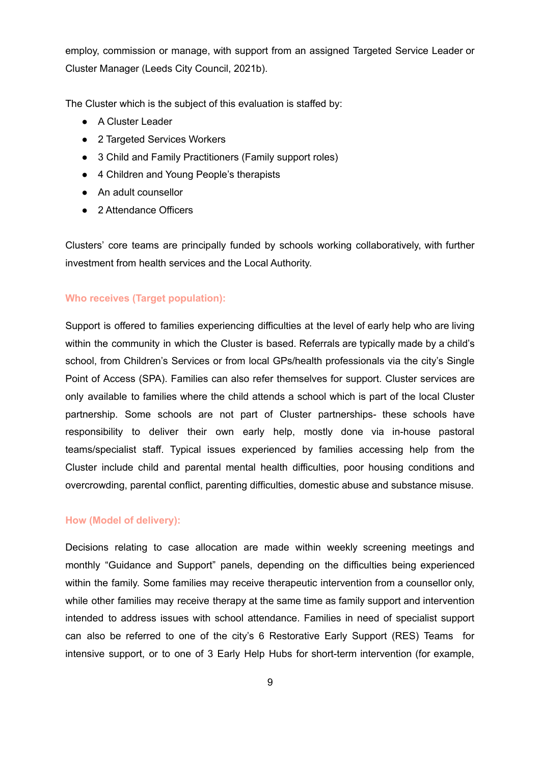employ, commission or manage, with support from an assigned Targeted Service Leader or Cluster Manager (Leeds City Council, 2021b).

The Cluster which is the subject of this evaluation is staffed by:

- A Cluster Leader
- 2 Targeted Services Workers
- 3 Child and Family Practitioners (Family support roles)
- 4 Children and Young People's therapists
- An adult counsellor
- 2 Attendance Officers

Clusters' core teams are principally funded by schools working collaboratively, with further investment from health services and the Local Authority.

## <span id="page-8-0"></span>**Who receives (Target population):**

Support is offered to families experiencing difficulties at the level of early help who are living within the community in which the Cluster is based. Referrals are typically made by a child's school, from Children's Services or from local GPs/health professionals via the city's Single Point of Access (SPA). Families can also refer themselves for support. Cluster services are only available to families where the child attends a school which is part of the local Cluster partnership. Some schools are not part of Cluster partnerships- these schools have responsibility to deliver their own early help, mostly done via in-house pastoral teams/specialist staff. Typical issues experienced by families accessing help from the Cluster include child and parental mental health difficulties, poor housing conditions and overcrowding, parental conflict, parenting difficulties, domestic abuse and substance misuse.

## <span id="page-8-1"></span>**How (Model of delivery):**

Decisions relating to case allocation are made within weekly screening meetings and monthly "Guidance and Support" panels, depending on the difficulties being experienced within the family. Some families may receive therapeutic intervention from a counsellor only, while other families may receive therapy at the same time as family support and intervention intended to address issues with school attendance. Families in need of specialist support can also be referred to one of the city's 6 Restorative Early Support (RES) Teams for intensive support, or to one of 3 Early Help Hubs for short-term intervention (for example,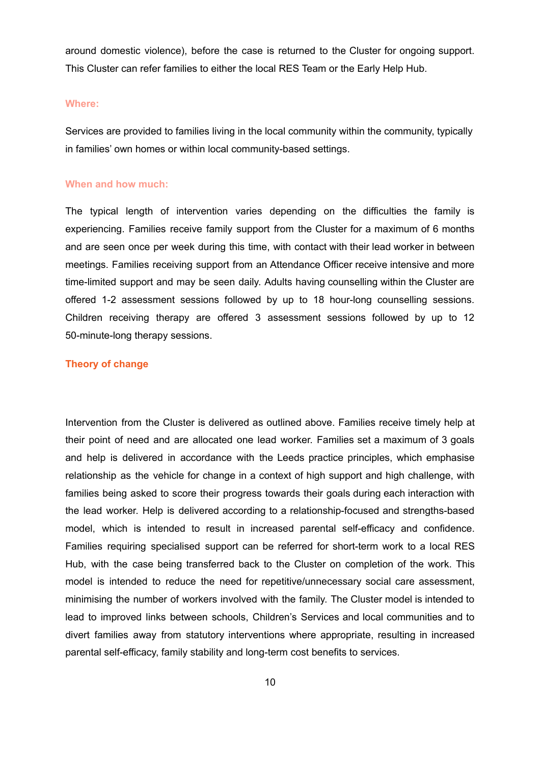around domestic violence), before the case is returned to the Cluster for ongoing support. This Cluster can refer families to either the local RES Team or the Early Help Hub.

#### <span id="page-9-0"></span>**Where:**

Services are provided to families living in the local community within the community, typically in families' own homes or within local community-based settings.

#### <span id="page-9-1"></span>**When and how much:**

The typical length of intervention varies depending on the difficulties the family is experiencing. Families receive family support from the Cluster for a maximum of 6 months and are seen once per week during this time, with contact with their lead worker in between meetings. Families receiving support from an Attendance Officer receive intensive and more time-limited support and may be seen daily. Adults having counselling within the Cluster are offered 1-2 assessment sessions followed by up to 18 hour-long counselling sessions. Children receiving therapy are offered 3 assessment sessions followed by up to 12 50-minute-long therapy sessions.

## <span id="page-9-2"></span>**Theory of change**

Intervention from the Cluster is delivered as outlined above. Families receive timely help at their point of need and are allocated one lead worker. Families set a maximum of 3 goals and help is delivered in accordance with the Leeds practice principles, which emphasise relationship as the vehicle for change in a context of high support and high challenge, with families being asked to score their progress towards their goals during each interaction with the lead worker. Help is delivered according to a relationship-focused and strengths-based model, which is intended to result in increased parental self-efficacy and confidence. Families requiring specialised support can be referred for short-term work to a local RES Hub, with the case being transferred back to the Cluster on completion of the work. This model is intended to reduce the need for repetitive/unnecessary social care assessment, minimising the number of workers involved with the family. The Cluster model is intended to lead to improved links between schools, Children's Services and local communities and to divert families away from statutory interventions where appropriate, resulting in increased parental self-efficacy, family stability and long-term cost benefits to services.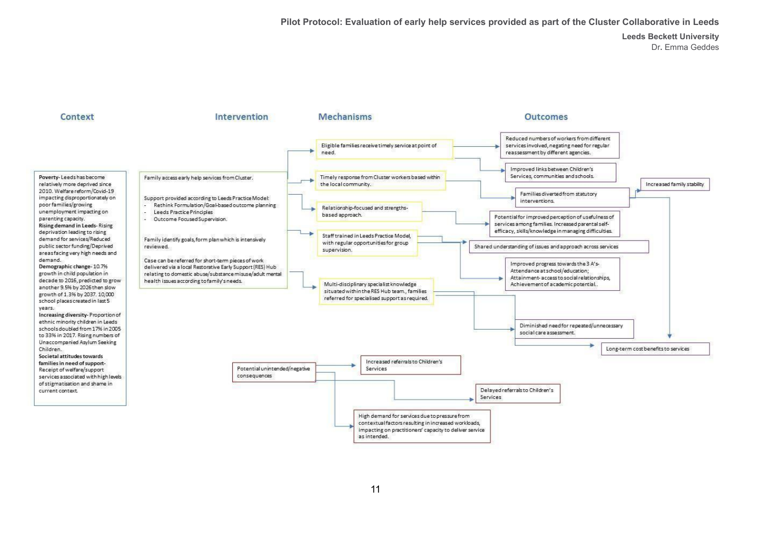**Pilot Protocol: Evaluation of early help services provided as part of the Cluster Collaborative in Leeds**

**Leeds Beckett University** Dr**.** Emma Geddes

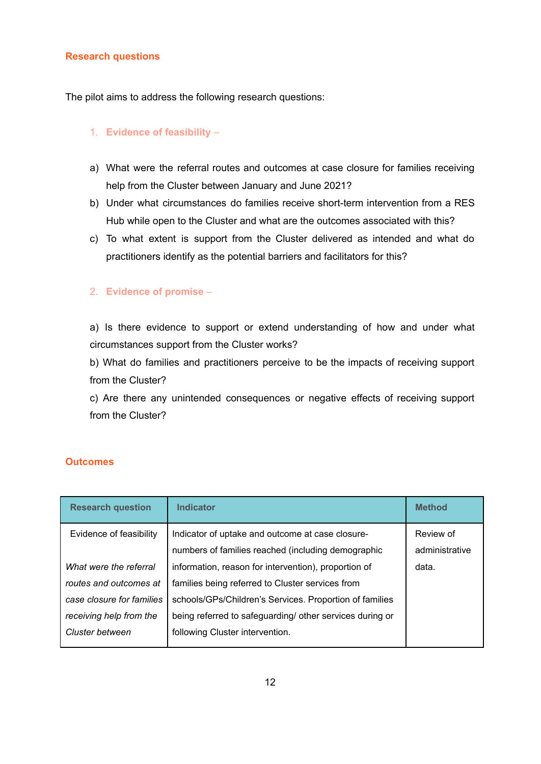## <span id="page-11-0"></span>**Research questions**

The pilot aims to address the following research questions:

# 1. **Evidence of feasibility** –

- a) What were the referral routes and outcomes at case closure for families receiving help from the Cluster between January and June 2021?
- b) Under what circumstances do families receive short-term intervention from a RES Hub while open to the Cluster and what are the outcomes associated with this?
- c) To what extent is support from the Cluster delivered as intended and what do practitioners identify as the potential barriers and facilitators for this?

## 2. **Evidence of promise** *–*

a) Is there evidence to support or extend understanding of how and under what circumstances support from the Cluster works?

b) What do families and practitioners perceive to be the impacts of receiving support from the Cluster?

c) Are there any unintended consequences or negative effects of receiving support from the Cluster?

# <span id="page-11-1"></span>**Outcomes**

| <b>Research question</b>  | <b>Indicator</b>                                         | <b>Method</b>  |
|---------------------------|----------------------------------------------------------|----------------|
| Evidence of feasibility   | Indicator of uptake and outcome at case closure-         | Review of      |
|                           | numbers of families reached (including demographic       | administrative |
| What were the referral    | information, reason for intervention), proportion of     | data.          |
| routes and outcomes at    | families being referred to Cluster services from         |                |
| case closure for families | schools/GPs/Children's Services. Proportion of families  |                |
| receiving help from the   | being referred to safeguarding/ other services during or |                |
| Cluster between           | following Cluster intervention.                          |                |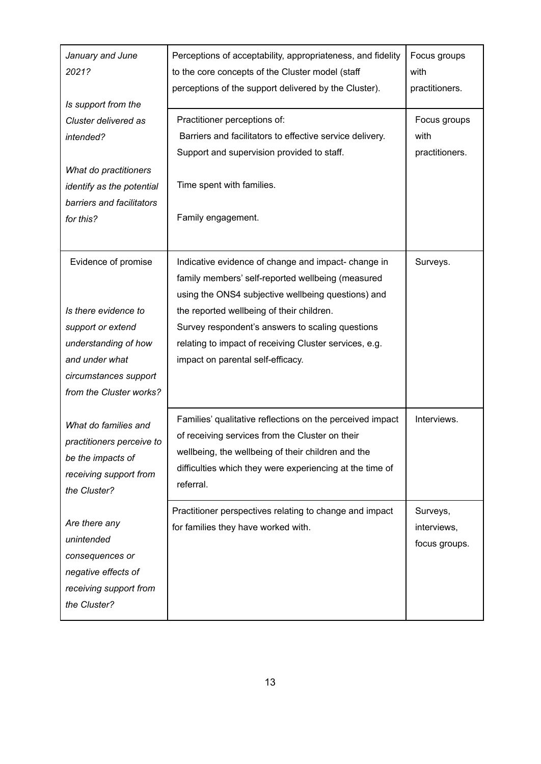| January and June<br>2021?<br>Is support from the<br>Cluster delivered as<br>intended?                                                   | Perceptions of acceptability, appropriateness, and fidelity<br>to the core concepts of the Cluster model (staff<br>perceptions of the support delivered by the Cluster).                                                                    | Focus groups<br>with<br>practitioners.   |
|-----------------------------------------------------------------------------------------------------------------------------------------|---------------------------------------------------------------------------------------------------------------------------------------------------------------------------------------------------------------------------------------------|------------------------------------------|
|                                                                                                                                         | Practitioner perceptions of:<br>Barriers and facilitators to effective service delivery.<br>Support and supervision provided to staff.                                                                                                      | Focus groups<br>with<br>practitioners.   |
| What do practitioners<br>identify as the potential<br>barriers and facilitators<br>for this?                                            | Time spent with families.<br>Family engagement.                                                                                                                                                                                             |                                          |
| Evidence of promise                                                                                                                     | Indicative evidence of change and impact-change in<br>family members' self-reported wellbeing (measured<br>using the ONS4 subjective wellbeing questions) and                                                                               | Surveys.                                 |
| Is there evidence to<br>support or extend<br>understanding of how<br>and under what<br>circumstances support<br>from the Cluster works? | the reported wellbeing of their children.<br>Survey respondent's answers to scaling questions<br>relating to impact of receiving Cluster services, e.g.<br>impact on parental self-efficacy.                                                |                                          |
| What do families and<br>practitioners perceive to<br>be the impacts of<br>receiving support from<br>the Cluster?                        | Families' qualitative reflections on the perceived impact<br>of receiving services from the Cluster on their<br>wellbeing, the wellbeing of their children and the<br>difficulties which they were experiencing at the time of<br>referral. | Interviews.                              |
| Are there any<br>unintended<br>consequences or<br>negative effects of<br>receiving support from<br>the Cluster?                         | Practitioner perspectives relating to change and impact<br>for families they have worked with.                                                                                                                                              | Surveys,<br>interviews,<br>focus groups. |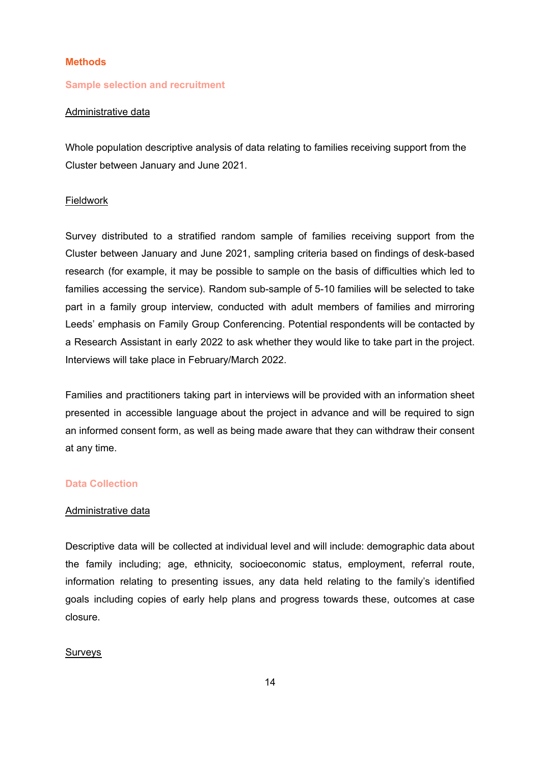#### <span id="page-13-0"></span>**Methods**

#### <span id="page-13-1"></span>**Sample selection and recruitment**

# Administrative data

Whole population descriptive analysis of data relating to families receiving support from the Cluster between January and June 2021.

#### Fieldwork

Survey distributed to a stratified random sample of families receiving support from the Cluster between January and June 2021, sampling criteria based on findings of desk-based research (for example, it may be possible to sample on the basis of difficulties which led to families accessing the service). Random sub-sample of 5-10 families will be selected to take part in a family group interview, conducted with adult members of families and mirroring Leeds' emphasis on Family Group Conferencing. Potential respondents will be contacted by a Research Assistant in early 2022 to ask whether they would like to take part in the project. Interviews will take place in February/March 2022.

Families and practitioners taking part in interviews will be provided with an information sheet presented in accessible language about the project in advance and will be required to sign an informed consent form, as well as being made aware that they can withdraw their consent at any time.

### <span id="page-13-2"></span>**Data Collection**

## Administrative data

Descriptive data will be collected at individual level and will include: demographic data about the family including; age, ethnicity, socioeconomic status, employment, referral route, information relating to presenting issues, any data held relating to the family's identified goals including copies of early help plans and progress towards these, outcomes at case closure.

## Surveys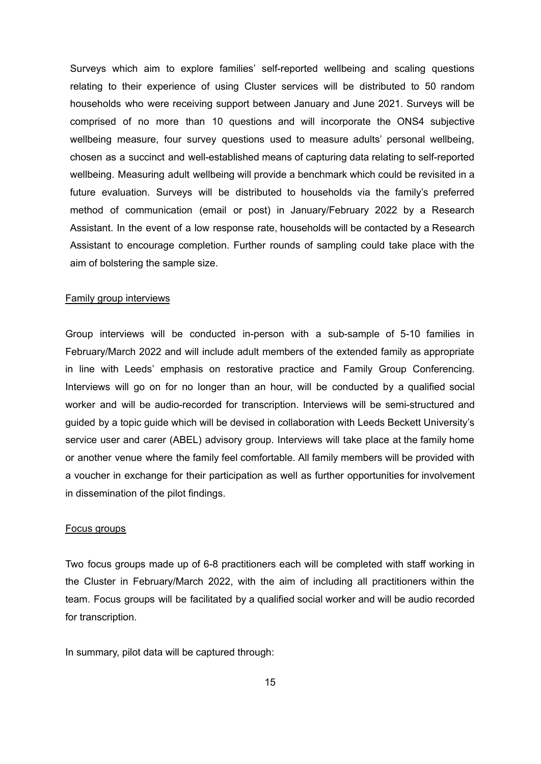Surveys which aim to explore families' self-reported wellbeing and scaling questions relating to their experience of using Cluster services will be distributed to 50 random households who were receiving support between January and June 2021. Surveys will be comprised of no more than 10 questions and will incorporate the ONS4 subjective wellbeing measure, four survey questions used to measure adults' personal wellbeing, chosen as a succinct and well-established means of capturing data relating to self-reported wellbeing. Measuring adult wellbeing will provide a benchmark which could be revisited in a future evaluation. Surveys will be distributed to households via the family's preferred method of communication (email or post) in January/February 2022 by a Research Assistant. In the event of a low response rate, households will be contacted by a Research Assistant to encourage completion. Further rounds of sampling could take place with the aim of bolstering the sample size.

### Family group interviews

Group interviews will be conducted in-person with a sub-sample of 5-10 families in February/March 2022 and will include adult members of the extended family as appropriate in line with Leeds' emphasis on restorative practice and Family Group Conferencing. Interviews will go on for no longer than an hour, will be conducted by a qualified social worker and will be audio-recorded for transcription. Interviews will be semi-structured and guided by a topic guide which will be devised in collaboration with Leeds Beckett University's service user and carer (ABEL) advisory group. Interviews will take place at the family home or another venue where the family feel comfortable. All family members will be provided with a voucher in exchange for their participation as well as further opportunities for involvement in dissemination of the pilot findings.

#### Focus groups

Two focus groups made up of 6-8 practitioners each will be completed with staff working in the Cluster in February/March 2022, with the aim of including all practitioners within the team. Focus groups will be facilitated by a qualified social worker and will be audio recorded for transcription.

In summary, pilot data will be captured through: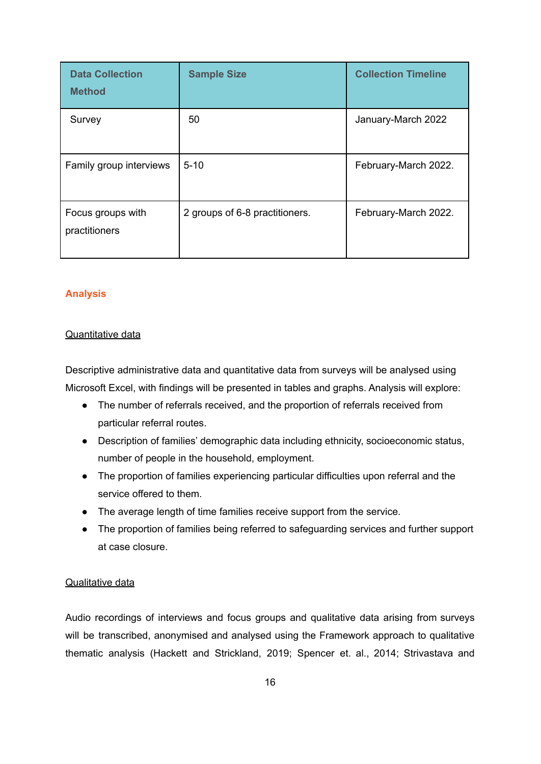| <b>Data Collection</b><br><b>Method</b> | <b>Sample Size</b>             | <b>Collection Timeline</b> |
|-----------------------------------------|--------------------------------|----------------------------|
| Survey                                  | 50                             | January-March 2022         |
| Family group interviews                 | $5 - 10$                       | February-March 2022.       |
| Focus groups with<br>practitioners      | 2 groups of 6-8 practitioners. | February-March 2022.       |

# <span id="page-15-0"></span>**Analysis**

# Quantitative data

Descriptive administrative data and quantitative data from surveys will be analysed using Microsoft Excel, with findings will be presented in tables and graphs. Analysis will explore:

- The number of referrals received, and the proportion of referrals received from particular referral routes.
- Description of families' demographic data including ethnicity, socioeconomic status, number of people in the household, employment.
- The proportion of families experiencing particular difficulties upon referral and the service offered to them.
- The average length of time families receive support from the service.
- The proportion of families being referred to safeguarding services and further support at case closure.

# Qualitative data

Audio recordings of interviews and focus groups and qualitative data arising from surveys will be transcribed, anonymised and analysed using the Framework approach to qualitative thematic analysis (Hackett and Strickland, 2019; Spencer et. al., 2014; Strivastava and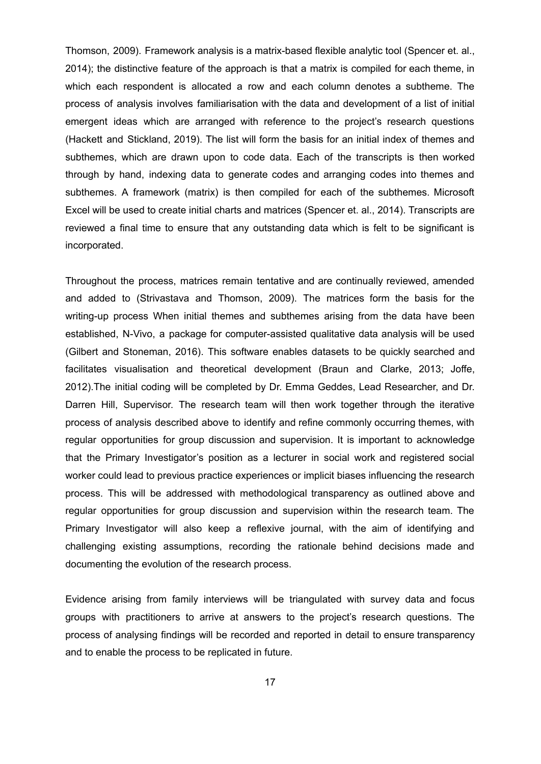Thomson, 2009). Framework analysis is a matrix-based flexible analytic tool (Spencer et. al., 2014); the distinctive feature of the approach is that a matrix is compiled for each theme, in which each respondent is allocated a row and each column denotes a subtheme. The process of analysis involves familiarisation with the data and development of a list of initial emergent ideas which are arranged with reference to the project's research questions (Hackett and Stickland, 2019). The list will form the basis for an initial index of themes and subthemes, which are drawn upon to code data. Each of the transcripts is then worked through by hand, indexing data to generate codes and arranging codes into themes and subthemes. A framework (matrix) is then compiled for each of the subthemes. Microsoft Excel will be used to create initial charts and matrices (Spencer et. al., 2014). Transcripts are reviewed a final time to ensure that any outstanding data which is felt to be significant is incorporated.

Throughout the process, matrices remain tentative and are continually reviewed, amended and added to (Strivastava and Thomson, 2009). The matrices form the basis for the writing-up process When initial themes and subthemes arising from the data have been established, N-Vivo, a package for computer-assisted qualitative data analysis will be used (Gilbert and Stoneman, 2016). This software enables datasets to be quickly searched and facilitates visualisation and theoretical development (Braun and Clarke, 2013; Joffe, 2012).The initial coding will be completed by Dr. Emma Geddes, Lead Researcher, and Dr. Darren Hill, Supervisor. The research team will then work together through the iterative process of analysis described above to identify and refine commonly occurring themes, with regular opportunities for group discussion and supervision. It is important to acknowledge that the Primary Investigator's position as a lecturer in social work and registered social worker could lead to previous practice experiences or implicit biases influencing the research process. This will be addressed with methodological transparency as outlined above and regular opportunities for group discussion and supervision within the research team. The Primary Investigator will also keep a reflexive journal, with the aim of identifying and challenging existing assumptions, recording the rationale behind decisions made and documenting the evolution of the research process.

Evidence arising from family interviews will be triangulated with survey data and focus groups with practitioners to arrive at answers to the project's research questions. The process of analysing findings will be recorded and reported in detail to ensure transparency and to enable the process to be replicated in future.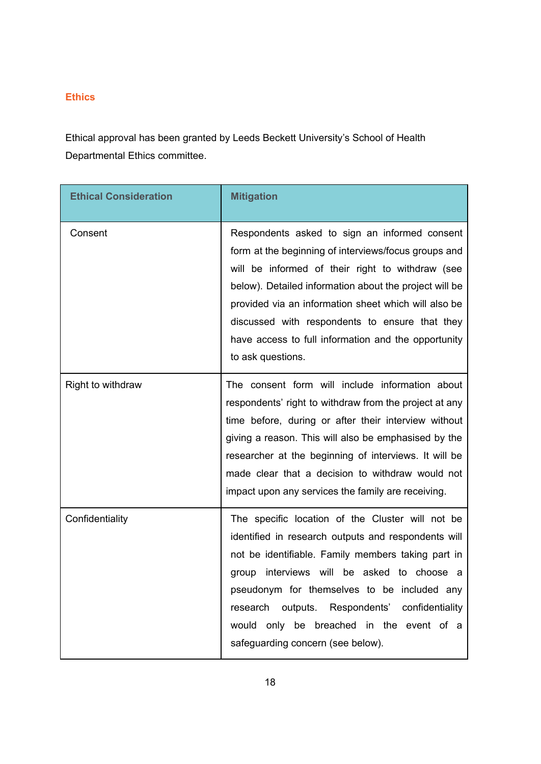# <span id="page-17-0"></span>**Ethics**

Ethical approval has been granted by Leeds Beckett University's School of Health Departmental Ethics committee.

| <b>Ethical Consideration</b> | <b>Mitigation</b>                                                                                                                                                                                                                                                                                                                                                                                         |
|------------------------------|-----------------------------------------------------------------------------------------------------------------------------------------------------------------------------------------------------------------------------------------------------------------------------------------------------------------------------------------------------------------------------------------------------------|
| Consent                      | Respondents asked to sign an informed consent<br>form at the beginning of interviews/focus groups and<br>will be informed of their right to withdraw (see<br>below). Detailed information about the project will be<br>provided via an information sheet which will also be<br>discussed with respondents to ensure that they<br>have access to full information and the opportunity<br>to ask questions. |
| Right to withdraw            | The consent form will include information about<br>respondents' right to withdraw from the project at any<br>time before, during or after their interview without<br>giving a reason. This will also be emphasised by the<br>researcher at the beginning of interviews. It will be<br>made clear that a decision to withdraw would not<br>impact upon any services the family are receiving.              |
| Confidentiality              | The specific location of the Cluster will not be<br>identified in research outputs and respondents will<br>not be identifiable. Family members taking part in<br>group interviews will be asked to choose a<br>pseudonym for themselves to be included any<br>outputs.<br>Respondents' confidentiality<br>research<br>only be breached in the event of a<br>would<br>safeguarding concern (see below).    |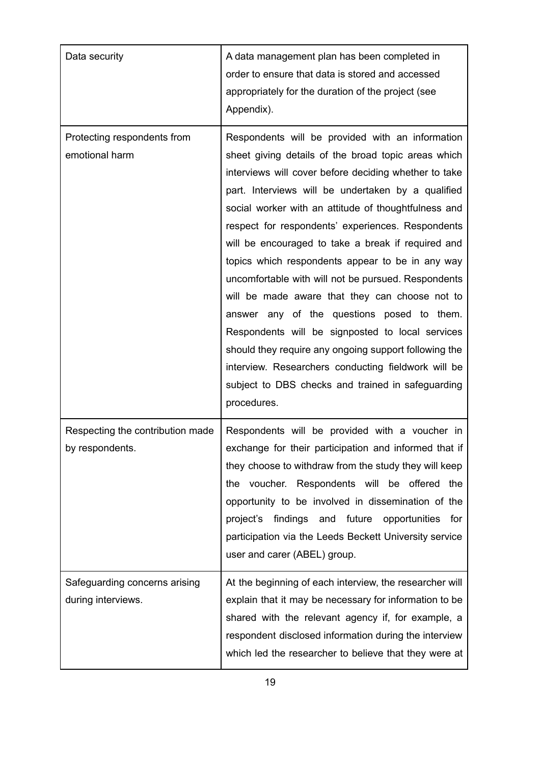| Data security                                       | A data management plan has been completed in<br>order to ensure that data is stored and accessed<br>appropriately for the duration of the project (see<br>Appendix).                                                                                                                                                                                                                                                                                                                                                                                                                                                                                                                                                                                                                                                                         |
|-----------------------------------------------------|----------------------------------------------------------------------------------------------------------------------------------------------------------------------------------------------------------------------------------------------------------------------------------------------------------------------------------------------------------------------------------------------------------------------------------------------------------------------------------------------------------------------------------------------------------------------------------------------------------------------------------------------------------------------------------------------------------------------------------------------------------------------------------------------------------------------------------------------|
| Protecting respondents from<br>emotional harm       | Respondents will be provided with an information<br>sheet giving details of the broad topic areas which<br>interviews will cover before deciding whether to take<br>part. Interviews will be undertaken by a qualified<br>social worker with an attitude of thoughtfulness and<br>respect for respondents' experiences. Respondents<br>will be encouraged to take a break if required and<br>topics which respondents appear to be in any way<br>uncomfortable with will not be pursued. Respondents<br>will be made aware that they can choose not to<br>answer any of the questions posed to them.<br>Respondents will be signposted to local services<br>should they require any ongoing support following the<br>interview. Researchers conducting fieldwork will be<br>subject to DBS checks and trained in safeguarding<br>procedures. |
| Respecting the contribution made<br>by respondents. | Respondents will be provided with a voucher in<br>exchange for their participation and informed that if<br>they choose to withdraw from the study they will keep<br>the voucher. Respondents will be offered the<br>opportunity to be involved in dissemination of the<br>project's findings and future opportunities<br>for<br>participation via the Leeds Beckett University service<br>user and carer (ABEL) group.                                                                                                                                                                                                                                                                                                                                                                                                                       |
| Safeguarding concerns arising<br>during interviews. | At the beginning of each interview, the researcher will<br>explain that it may be necessary for information to be<br>shared with the relevant agency if, for example, a<br>respondent disclosed information during the interview<br>which led the researcher to believe that they were at                                                                                                                                                                                                                                                                                                                                                                                                                                                                                                                                                    |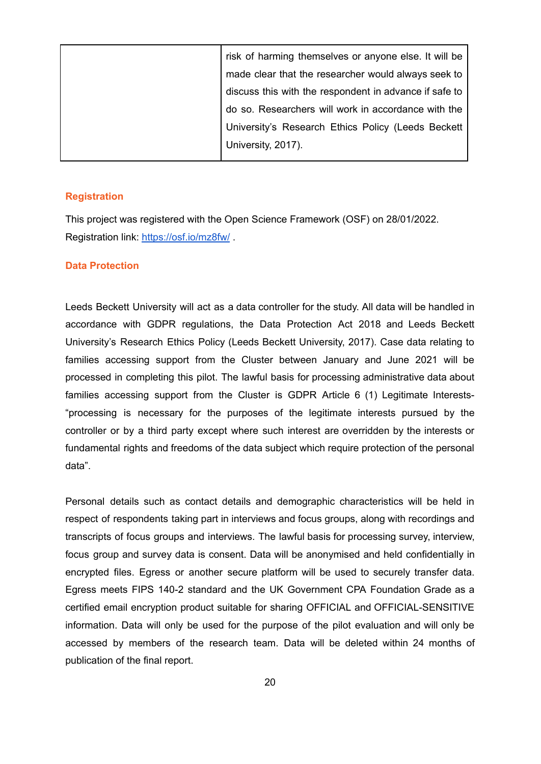| risk of harming themselves or anyone else. It will be  |
|--------------------------------------------------------|
| made clear that the researcher would always seek to    |
| discuss this with the respondent in advance if safe to |
| do so. Researchers will work in accordance with the    |
| University's Research Ethics Policy (Leeds Beckett     |
| University, 2017).                                     |
|                                                        |

#### <span id="page-19-0"></span>**Registration**

This project was registered with the Open Science Framework (OSF) on 28/01/2022. Registration link: <https://osf.io/mz8fw/> .

#### **Data Protection**

Leeds Beckett University will act as a data controller for the study. All data will be handled in accordance with GDPR regulations, the Data Protection Act 2018 and Leeds Beckett University's Research Ethics Policy (Leeds Beckett University, 2017). Case data relating to families accessing support from the Cluster between January and June 2021 will be processed in completing this pilot. The lawful basis for processing administrative data about families accessing support from the Cluster is GDPR Article 6 (1) Legitimate Interests- "processing is necessary for the purposes of the legitimate interests pursued by the controller or by a third party except where such interest are overridden by the interests or fundamental rights and freedoms of the data subject which require protection of the personal data".

Personal details such as contact details and demographic characteristics will be held in respect of respondents taking part in interviews and focus groups, along with recordings and transcripts of focus groups and interviews. The lawful basis for processing survey, interview, focus group and survey data is consent. Data will be anonymised and held confidentially in encrypted files. Egress or another secure platform will be used to securely transfer data. Egress meets FIPS 140-2 standard and the UK Government CPA Foundation Grade as a certified email encryption product suitable for sharing OFFICIAL and OFFICIAL-SENSITIVE information. Data will only be used for the purpose of the pilot evaluation and will only be accessed by members of the research team. Data will be deleted within 24 months of publication of the final report.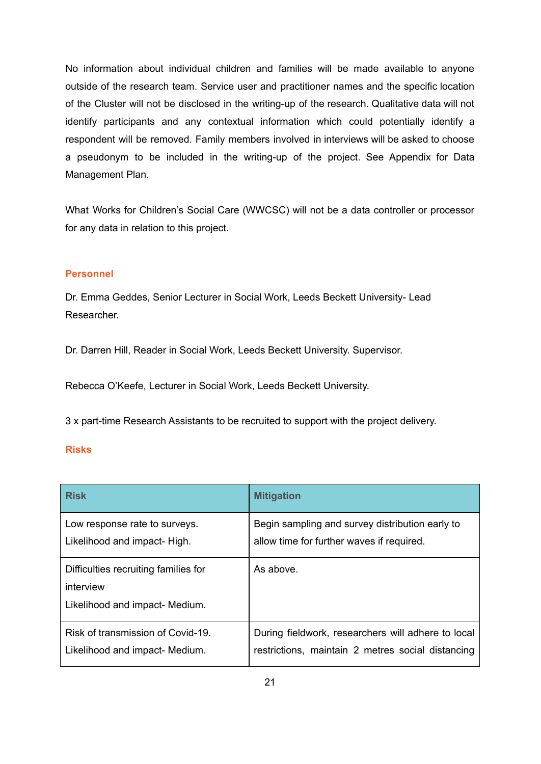No information about individual children and families will be made available to anyone outside of the research team. Service user and practitioner names and the specific location of the Cluster will not be disclosed in the writing-up of the research. Qualitative data will not identify participants and any contextual information which could potentially identify a respondent will be removed. Family members involved in interviews will be asked to choose a pseudonym to be included in the writing-up of the project. See Appendix for Data Management Plan.

What Works for Children's Social Care (WWCSC) will not be a data controller or processor for any data in relation to this project.

# <span id="page-20-0"></span>**Personnel**

Dr. Emma Geddes, Senior Lecturer in Social Work, Leeds Beckett University- Lead Researcher.

Dr. Darren Hill, Reader in Social Work, Leeds Beckett University. Supervisor.

Rebecca O'Keefe, Lecturer in Social Work, Leeds Beckett University.

3 x part-time Research Assistants to be recruited to support with the project delivery.

### <span id="page-20-1"></span>**Risks**

| <b>Risk</b>                                                                         | <b>Mitigation</b>                                  |
|-------------------------------------------------------------------------------------|----------------------------------------------------|
| Low response rate to surveys.                                                       | Begin sampling and survey distribution early to    |
| Likelihood and impact- High.                                                        | allow time for further waves if required.          |
| Difficulties recruiting families for<br>interview<br>Likelihood and impact- Medium. | As above.                                          |
| Risk of transmission of Covid-19.                                                   | During fieldwork, researchers will adhere to local |
| Likelihood and impact- Medium.                                                      | restrictions, maintain 2 metres social distancing  |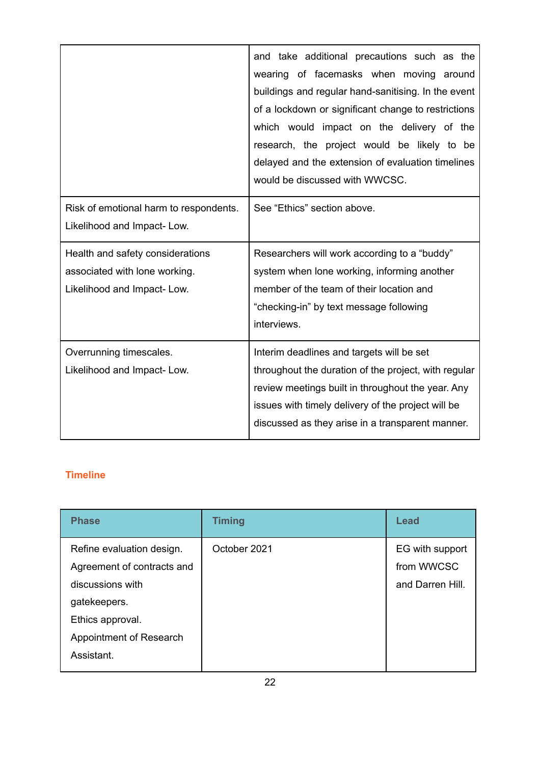|                                                                                                 | and take additional precautions such as the<br>wearing of facemasks when moving around<br>buildings and regular hand-sanitising. In the event<br>of a lockdown or significant change to restrictions<br>which would impact on the delivery of the<br>research, the project would be likely to be<br>delayed and the extension of evaluation timelines<br>would be discussed with WWCSC. |
|-------------------------------------------------------------------------------------------------|-----------------------------------------------------------------------------------------------------------------------------------------------------------------------------------------------------------------------------------------------------------------------------------------------------------------------------------------------------------------------------------------|
| Risk of emotional harm to respondents.<br>Likelihood and Impact-Low.                            | See "Ethics" section above.                                                                                                                                                                                                                                                                                                                                                             |
| Health and safety considerations<br>associated with lone working.<br>Likelihood and Impact-Low. | Researchers will work according to a "buddy"<br>system when lone working, informing another<br>member of the team of their location and<br>"checking-in" by text message following<br>interviews.                                                                                                                                                                                       |
| Overrunning timescales.<br>Likelihood and Impact-Low.                                           | Interim deadlines and targets will be set<br>throughout the duration of the project, with regular<br>review meetings built in throughout the year. Any<br>issues with timely delivery of the project will be<br>discussed as they arise in a transparent manner.                                                                                                                        |

# <span id="page-21-0"></span>**Timeline**

| <b>Phase</b>                                                                                                                                             | <b>Timing</b> | <b>Lead</b>                                       |
|----------------------------------------------------------------------------------------------------------------------------------------------------------|---------------|---------------------------------------------------|
| Refine evaluation design.<br>Agreement of contracts and<br>discussions with<br>gatekeepers.<br>Ethics approval.<br>Appointment of Research<br>Assistant. | October 2021  | EG with support<br>from WWCSC<br>and Darren Hill. |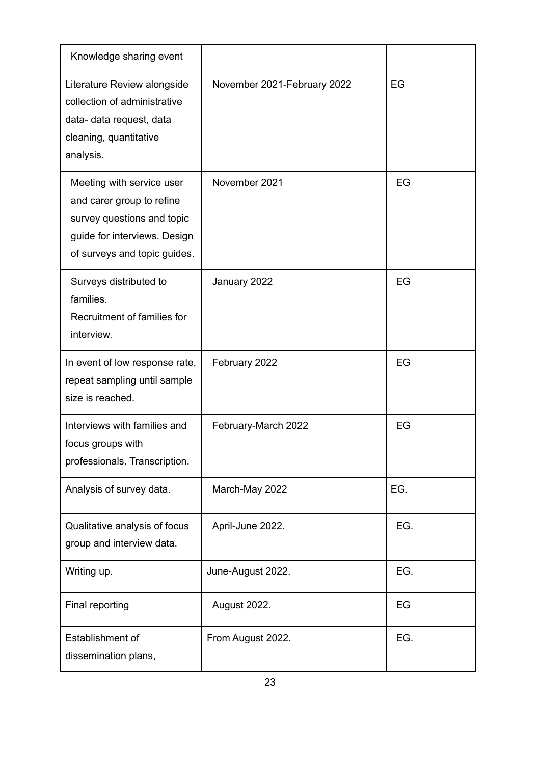| Knowledge sharing event                                                                                                                              |                             |     |
|------------------------------------------------------------------------------------------------------------------------------------------------------|-----------------------------|-----|
| Literature Review alongside<br>collection of administrative<br>data- data request, data<br>cleaning, quantitative<br>analysis.                       | November 2021-February 2022 | EG  |
| Meeting with service user<br>and carer group to refine<br>survey questions and topic<br>guide for interviews. Design<br>of surveys and topic guides. | November 2021               | EG  |
| Surveys distributed to<br>families.<br>Recruitment of families for<br>interview.                                                                     | January 2022                | EG  |
| In event of low response rate,<br>repeat sampling until sample<br>size is reached.                                                                   | February 2022               | EG  |
| Interviews with families and<br>focus groups with<br>professionals. Transcription.                                                                   | February-March 2022         | EG  |
| Analysis of survey data.                                                                                                                             | March-May 2022              | EG. |
| Qualitative analysis of focus<br>group and interview data.                                                                                           | April-June 2022.            | EG. |
| Writing up.                                                                                                                                          | June-August 2022.           | EG. |
| Final reporting                                                                                                                                      | August 2022.                | EG  |
| Establishment of<br>dissemination plans,                                                                                                             | From August 2022.           | EG. |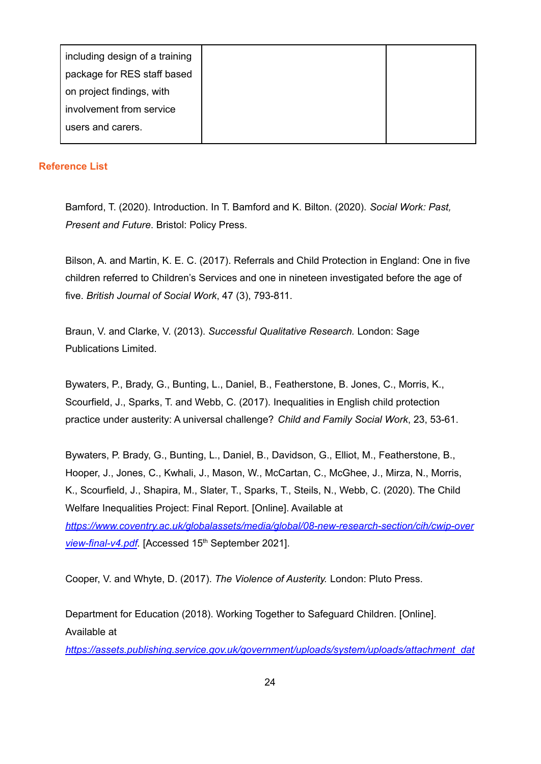| including design of a training |  |
|--------------------------------|--|
| package for RES staff based    |  |
| on project findings, with      |  |
| involvement from service       |  |
| users and carers.              |  |
|                                |  |

# <span id="page-23-0"></span>**Reference List**

Bamford, T. (2020). Introduction. In T. Bamford and K. Bilton. (2020). *Social Work: Past, Present and Future*. Bristol: Policy Press.

Bilson, A. and Martin, K. E. C. (2017). Referrals and Child Protection in England: One in five children referred to Children's Services and one in nineteen investigated before the age of five. *British Journal of Social Work*, 47 (3), 793-811.

Braun, V. and Clarke, V. (2013). *Successful Qualitative Research.* London: Sage Publications Limited.

Bywaters, P., Brady, G., Bunting, L., Daniel, B., Featherstone, B. Jones, C., Morris, K., Scourfield, J., Sparks, T. and Webb, C. (2017). Inequalities in English child protection practice under austerity: A universal challenge? *Child and Family Social Work*, 23, 53-61.

Bywaters, P. Brady, G., Bunting, L., Daniel, B., Davidson, G., Elliot, M., Featherstone, B., Hooper, J., Jones, C., Kwhali, J., Mason, W., McCartan, C., McGhee, J., Mirza, N., Morris, K., Scourfield, J., Shapira, M., Slater, T., Sparks, T., Steils, N., Webb, C. (2020). The Child Welfare Inequalities Project: Final Report. [Online]. Available at *[https://www.coventry.ac.uk/globalassets/media/global/08-new-research-section/cih/cwip-over](https://www.coventry.ac.uk/globalassets/media/global/08-new-research-section/cih/cwip-overview-final-v4.pdf)* [view-final-v4.pdf](https://www.coventry.ac.uk/globalassets/media/global/08-new-research-section/cih/cwip-overview-final-v4.pdf). [Accessed 15<sup>th</sup> September 2021].

Cooper, V. and Whyte, D. (2017). *The Violence of Austerity.* London: Pluto Press.

Department for Education (2018). Working Together to Safeguard Children. [Online]. Available at

*[https://assets.publishing.service.gov.uk/government/uploads/system/uploads/attachment\\_dat](https://assets.publishing.service.gov.uk/government/uploads/system/uploads/attachment_data/file/942454/Working_together_to_safeguard_children_inter_agency_guidance.pdf)*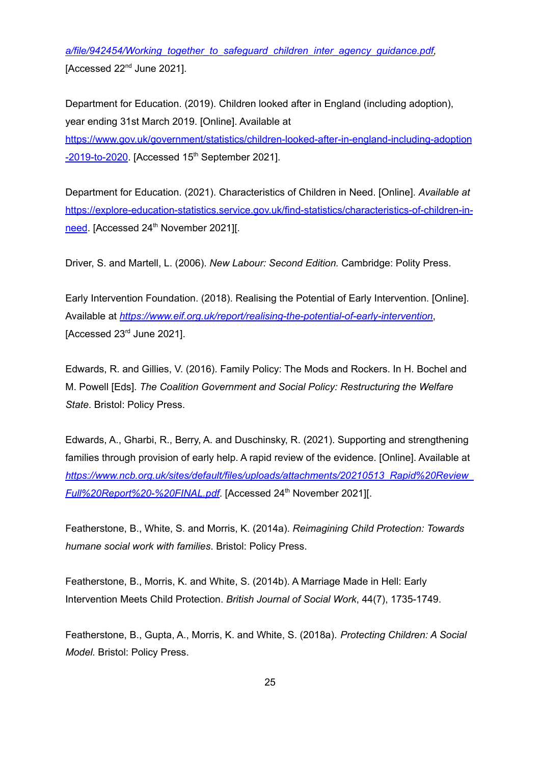*[a/file/942454/Working\\_together\\_to\\_safeguard\\_children\\_inter\\_agency\\_guidance.pdf,](https://assets.publishing.service.gov.uk/government/uploads/system/uploads/attachment_data/file/942454/Working_together_to_safeguard_children_inter_agency_guidance.pdf)* [Accessed  $22<sup>nd</sup>$  June 2021].

Department for Education. (2019). Children looked after in England (including adoption), year ending 31st March 2019. [Online]. Available at [https://www.gov.uk/government/statistics/children-looked-after-in-england-including-adoption](https://www.gov.uk/government/statistics/children-looked-after-in-england-including-adoption-2019-to-2020) [-2019-to-2020](https://www.gov.uk/government/statistics/children-looked-after-in-england-including-adoption-2019-to-2020). [Accessed 15<sup>th</sup> September 2021].

Department for Education. (2021). Characteristics of Children in Need. [Online]. *Available at* [https://explore-education-statistics.service.gov.uk/find-statistics/characteristics-of-children-in](https://explore-education-statistics.service.gov.uk/find-statistics/characteristics-of-children-in-need)[need](https://explore-education-statistics.service.gov.uk/find-statistics/characteristics-of-children-in-need). [Accessed 24<sup>th</sup> November 2021][.

Driver, S. and Martell, L. (2006). *New Labour: Second Edition.* Cambridge: Polity Press.

Early Intervention Foundation. (2018). Realising the Potential of Early Intervention. [Online]. Available at *<https://www.eif.org.uk/report/realising-the-potential-of-early-intervention>*, [Accessed  $23<sup>rd</sup>$  June 2021].

Edwards, R. and Gillies, V. (2016). Family Policy: The Mods and Rockers. In H. Bochel and M. Powell [Eds]. *The Coalition Government and Social Policy: Restructuring the Welfare State*. Bristol: Policy Press.

Edwards, A., Gharbi, R., Berry, A. and Duschinsky, R. (2021). Supporting and strengthening families through provision of early help. A rapid review of the evidence. [Online]. Available at *[https://www.ncb.org.uk/sites/default/files/uploads/attachments/20210513\\_Rapid%20Review\\_](https://www.ncb.org.uk/sites/default/files/uploads/attachments/20210513_Rapid%20Review_Full%20Report%20-%20FINAL.pdf) [Full%20Report%20-%20FINAL.pdf](https://www.ncb.org.uk/sites/default/files/uploads/attachments/20210513_Rapid%20Review_Full%20Report%20-%20FINAL.pdf)*. [Accessed 24 th November 2021][.

Featherstone, B., White, S. and Morris, K. (2014a). *Reimagining Child Protection: Towards humane social work with families*. Bristol: Policy Press.

Featherstone, B., Morris, K. and White, S. (2014b). A Marriage Made in Hell: Early Intervention Meets Child Protection. *British Journal of Social Work*, 44(7), 1735-1749.

Featherstone, B., Gupta, A., Morris, K. and White, S. (2018a). *Protecting Children: A Social Model.* Bristol: Policy Press.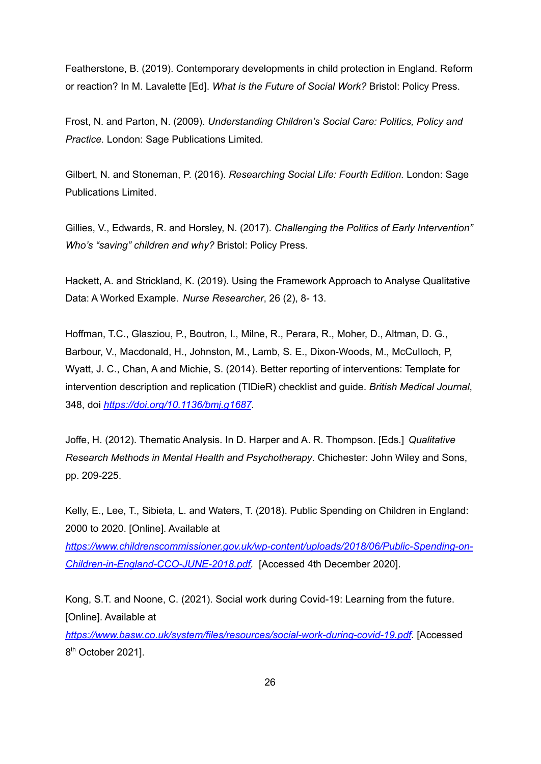Featherstone, B. (2019). Contemporary developments in child protection in England. Reform or reaction? In M. Lavalette [Ed]. *What is the Future of Social Work?* Bristol: Policy Press.

Frost, N. and Parton, N. (2009). *Understanding Children's Social Care: Politics, Policy and Practice.* London: Sage Publications Limited.

Gilbert, N. and Stoneman, P. (2016). *Researching Social Life: Fourth Edition.* London: Sage Publications Limited.

Gillies, V., Edwards, R. and Horsley, N. (2017). *Challenging the Politics of Early Intervention" Who's "saving" children and why?* Bristol: Policy Press.

Hackett, A. and Strickland, K. (2019). Using the Framework Approach to Analyse Qualitative Data: A Worked Example. *Nurse Researcher*, 26 (2), 8- 13.

Hoffman, T.C., Glasziou, P., Boutron, I., Milne, R., Perara, R., Moher, D., Altman, D. G., Barbour, V., Macdonald, H., Johnston, M., Lamb, S. E., Dixon-Woods, M., McCulloch, P, Wyatt, J. C., Chan, A and Michie, S. (2014). Better reporting of interventions: Template for intervention description and replication (TIDieR) checklist and guide. *British Medical Journal*, 348, doi *<https://doi.org/10.1136/bmj.g1687>.*

Joffe, H. (2012). Thematic Analysis. In D. Harper and A. R. Thompson. [Eds.] *Qualitative Research Methods in Mental Health and Psychotherapy*. Chichester: John Wiley and Sons, pp. 209-225.

Kelly, E., Lee, T., Sibieta, L. and Waters, T. (2018). Public Spending on Children in England: 2000 to 2020. [Online]. Available at

*[https://www.childrenscommissioner.gov.uk/wp-content/uploads/2018/06/Public-Spending-on-](https://www.childrenscommissioner.gov.uk/wp-content/uploads/2018/06/Public-Spending-on-Children-in-England-CCO-JUNE-2018.pdf)[Children-in-England-CCO-JUNE-2018.pdf](https://www.childrenscommissioner.gov.uk/wp-content/uploads/2018/06/Public-Spending-on-Children-in-England-CCO-JUNE-2018.pdf).* [Accessed 4th December 2020].

Kong, S.T. and Noone, C. (2021). Social work during Covid-19: Learning from the future. [Online]. Available at

*<https://www.basw.co.uk/system/files/resources/social-work-during-covid-19.pdf>.* [Accessed 8<sup>th</sup> October 2021].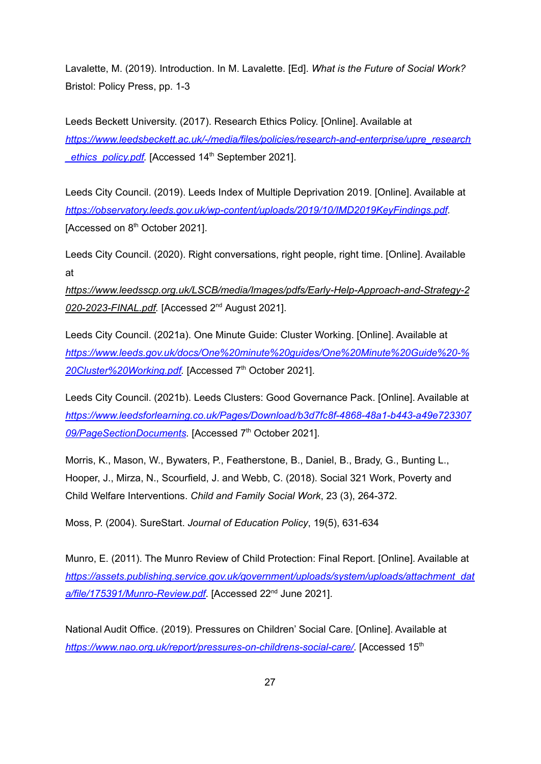Lavalette, M. (2019). Introduction. In M. Lavalette. [Ed]. *What is the Future of Social Work?* Bristol: Policy Press, pp. 1-3

Leeds Beckett University. (2017). Research Ethics Policy. [Online]. Available at *[https://www.leedsbeckett.ac.uk/-/media/files/policies/research-and-enterprise/upre\\_research](https://www.leedsbeckett.ac.uk/-/media/files/policies/research-and-enterprise/upre_research_ethics_policy.pdf)* ethics\_policy.pdf. [Accessed 14<sup>th</sup> September 2021].

Leeds City Council. (2019). Leeds Index of Multiple Deprivation 2019. [Online]. Available at *<https://observatory.leeds.gov.uk/wp-content/uploads/2019/10/IMD2019KeyFindings.pdf>.* [Accessed on 8<sup>th</sup> October 2021].

Leeds City Council. (2020). Right conversations, right people, right time. [Online]. Available at

*[https://www.leedsscp.org.uk/LSCB/media/Images/pdfs/Early-Help-Approach-and-Strategy-2](https://www.leedsscp.org.uk/LSCB/media/Images/pdfs/Early-Help-Approach-and-Strategy-2020-2023-FINAL.pdf)* [020-2023-FINAL.pdf.](https://www.leedsscp.org.uk/LSCB/media/Images/pdfs/Early-Help-Approach-and-Strategy-2020-2023-FINAL.pdf) [Accessed 2<sup>nd</sup> August 2021].

Leeds City Council. (2021a). One Minute Guide: Cluster Working. [Online]. Available at *[https://www.leeds.gov.uk/docs/One%20minute%20guides/One%20Minute%20Guide%20-%](https://www.leeds.gov.uk/docs/One%20minute%20guides/One%20Minute%20Guide%20-%20Cluster%20Working.pdf)* [20Cluster%20Working.pdf.](https://www.leeds.gov.uk/docs/One%20minute%20guides/One%20Minute%20Guide%20-%20Cluster%20Working.pdf) [Accessed 7<sup>th</sup> October 2021].

Leeds City Council. (2021b). Leeds Clusters: Good Governance Pack. [Online]. Available at *[https://www.leedsforlearning.co.uk/Pages/Download/b3d7fc8f-4868-48a1-b443-a49e723307](https://www.leedsforlearning.co.uk/Pages/Download/b3d7fc8f-4868-48a1-b443-a49e72330709/PageSectionDocuments) [09/PageSectionDocuments](https://www.leedsforlearning.co.uk/Pages/Download/b3d7fc8f-4868-48a1-b443-a49e72330709/PageSectionDocuments).* [Accessed 7 th October 2021].

Morris, K., Mason, W., Bywaters, P., Featherstone, B., Daniel, B., Brady, G., Bunting L., Hooper, J., Mirza, N., Scourfield, J. and Webb, C. (2018). Social 321 Work, Poverty and Child Welfare Interventions. *Child and Family Social Work*, 23 (3), 264-372.

Moss, P. (2004). SureStart. *Journal of Education Policy*, 19(5), 631-634

Munro, E. (2011). The Munro Review of Child Protection: Final Report. [Online]. Available at *[https://assets.publishing.service.gov.uk/government/uploads/system/uploads/attachment\\_dat](https://assets.publishing.service.gov.uk/government/uploads/system/uploads/attachment_data/file/175391/Munro-Review.pdf)* [a/file/175391/Munro-Review.pdf](https://assets.publishing.service.gov.uk/government/uploads/system/uploads/attachment_data/file/175391/Munro-Review.pdf). [Accessed 22<sup>nd</sup> June 2021].

National Audit Office. (2019). Pressures on Children' Social Care. [Online]. Available at <https://www.nao.org.uk/report/pressures-on-childrens-social-care/>. [Accessed 15<sup>th</sup>